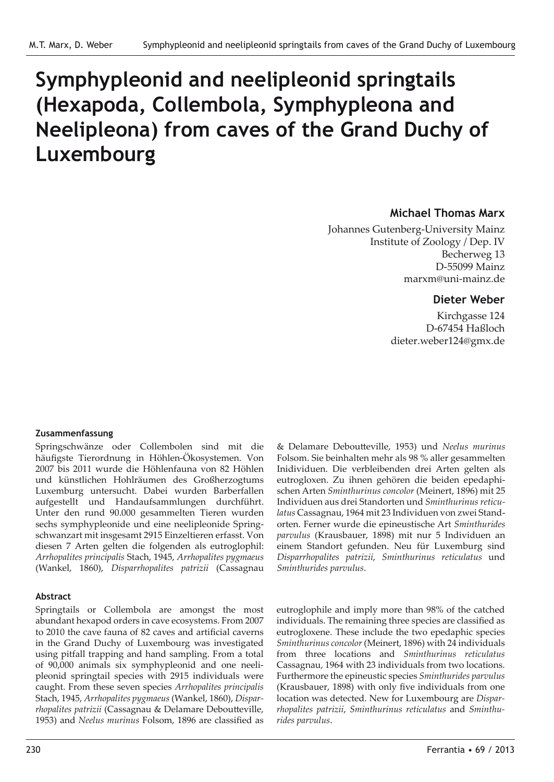# **Symphypleonid and neelipleonid springtails (Hexapoda, Collembola, Symphypleona and Neelipleona) from caves of the Grand Duchy of Luxembourg**

#### **Michael Thomas Marx**

Johannes Gutenberg-University Mainz Institute of Zoology / Dep. IV Becherweg 13 D-55099 Mainz marxm@uni-mainz.de

#### **Dieter Weber**

Kirchgasse 124 D-67454 Haßloch dieter.weber124@gmx.de

#### **Zusammenfassung**

Springschwänze oder Collembolen sind mit die häufigste Tierordnung in Höhlen-Ökosystemen. Von 2007 bis 2011 wurde die Höhlenfauna von 82 Höhlen und künstlichen Hohlräumen des Großherzogtums Luxemburg untersucht. Dabei wurden Barberfallen aufgestellt und Handaufsammlungen durchführt. Unter den rund 90.000 gesammelten Tieren wurden sechs symphypleonide und eine neelipleonide Springschwanzart mit insgesamt 2915 Einzeltieren erfasst. Von diesen 7 Arten gelten die folgenden als eutroglophil: *Arrhopalites principalis* Stach, 1945, *Arrhopalites pygmaeus* (Wankel, 1860), *Disparrhopalites patrizii* (Cassagnau

#### **Abstract**

Springtails or Collembola are amongst the most abundant hexapod orders in cave ecosystems. From 2007 to 2010 the cave fauna of 82 caves and artificial caverns in the Grand Duchy of Luxembourg was investigated using pitfall trapping and hand sampling. From a total of 90,000 animals six symphypleonid and one neelipleonid springtail species with 2915 individuals were caught. From these seven species *Arrhopalites principalis* Stach, 1945, *Arrhopalites pygmaeus* (Wankel, 1860), *Disparrhopalites patrizii* (Cassagnau & Delamare Deboutteville, 1953) and *Neelus murinus* Folsom, 1896 are classified as & Delamare Deboutteville, 1953) und *Neelus murinus* Folsom. Sie beinhalten mehr als 98 % aller gesammelten Inidividuen. Die verbleibenden drei Arten gelten als eutrogloxen. Zu ihnen gehören die beiden epedaphischen Arten *Sminthurinus concolor* (Meinert, 1896) mit 25 Individuen aus drei Standorten und *Sminthurinus reticulatus* Cassagnau, 1964 mit 23 Individuen von zwei Standorten. Ferner wurde die epineustische Art *Sminthurides parvulus* (Krausbauer, 1898) mit nur 5 Individuen an einem Standort gefunden. Neu für Luxemburg sind *Disparrhopalites patrizii*, *Sminthurinus reticulatus* und *Sminthurides parvulus*.

eutroglophile and imply more than 98% of the catched individuals. The remaining three species are classified as eutrogloxene. These include the two epedaphic species *Sminthurinus concolor* (Meinert, 1896) with 24 individuals from three locations and *Sminthurinus reticulatus* Cassagnau, 1964 with 23 individuals from two locations. Furthermore the epineustic species *Sminthurides parvulus* (Krausbauer, 1898) with only five individuals from one location was detected. New for Luxembourg are *Disparrhopalites patrizii*, *Sminthurinus reticulatus* and *Sminthurides parvulus*.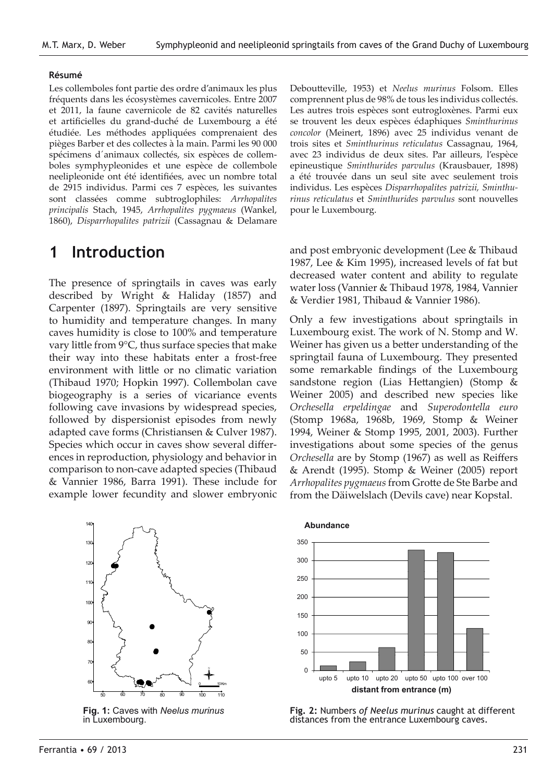#### **Résumé**

Les collemboles font partie des ordre d'animaux les plus fréquents dans les écosystèmes cavernicoles. Entre 2007 et 2011, la faune cavernicole de 82 cavités naturelles et artificielles du grand-duché de Luxembourg a été étudiée. Les méthodes appliquées comprenaient des pièges Barber et des collectes à la main. Parmi les 90 000 spécimens d´animaux collectés, six espèces de collemboles symphypleonides et une espèce de collembole neelipleonide ont été identifiées, avec un nombre total de 2915 individus. Parmi ces 7 espèces, les suivantes sont classées comme subtroglophiles: *Arrhopalites principalis* Stach, 1945, *Arrhopalites pygmaeus* (Wankel, 1860), *Disparrhopalites patrizii* (Cassagnau & Delamare

## **1 Introduction**

The presence of springtails in caves was early described by Wright & Haliday (1857) and Carpenter (1897). Springtails are very sensitive to humidity and temperature changes. In many caves humidity is close to 100% and temperature vary little from 9°C, thus surface species that make their way into these habitats enter a frost-free environment with little or no climatic variation (Thibaud 1970; Hopkin 1997). Collembolan cave biogeography is a series of vicariance events following cave invasions by widespread species, followed by dispersionist episodes from newly adapted cave forms (Christiansen & Culver 1987). Species which occur in caves show several differences in reproduction, physiology and behavior in comparison to non-cave adapted species (Thibaud & Vannier 1986, Barra 1991). These include for example lower fecundity and slower embryonic *Neelus murinus*



**Fig. 1:** Caves with *Neelus murinus* in Luxembourg.

Deboutteville, 1953) et *Neelus murinus* Folsom. Elles comprennent plus de 98% de tous les individus collectés. Les autres trois espèces sont eutrogloxènes. Parmi eux se trouvent les deux espèces édaphiques *Sminthurinus concolor* (Meinert, 1896) avec 25 individus venant de trois sites et *Sminthurinus reticulatus* Cassagnau, 1964, avec 23 individus de deux sites. Par ailleurs, l'espèce epineustique *Sminthurides parvulus* (Krausbauer, 1898) a été trouvée dans un seul site avec seulement trois individus. Les espèces *Disparrhopalites patrizii, Sminthurinus reticulatus* et *Sminthurides parvulus* sont nouvelles pour le Luxembourg.

and post embryonic development (Lee & Thibaud 1987, Lee & Kim 1995), increased levels of fat but decreased water content and ability to regulate water loss (Vannier & Thibaud 1978, 1984, Vannier & Verdier 1981, Thibaud & Vannier 1986).

Only a few investigations about springtails in Luxembourg exist. The work of N. Stomp and W. Weiner has given us a better understanding of the springtail fauna of Luxembourg. They presented some remarkable findings of the Luxembourg sandstone region (Lias Hettangien) (Stomp & Weiner 2005) and described new species like *Orchesella erpeldingae* and *Superodontella euro* (Stomp 1968a, 1968b, 1969, Stomp & Weiner 1994, Weiner & Stomp 1995, 2001, 2003). Further investigations about some species of the genus *Orchesella* are by Stomp (1967) as well as Reiffers & Arendt (1995). Stomp & Weiner (2005) report *Arrhopalites pygmaeus* from Grotte de Ste Barbe and from the Däiwelslach (Devils cave) near Kopstal.



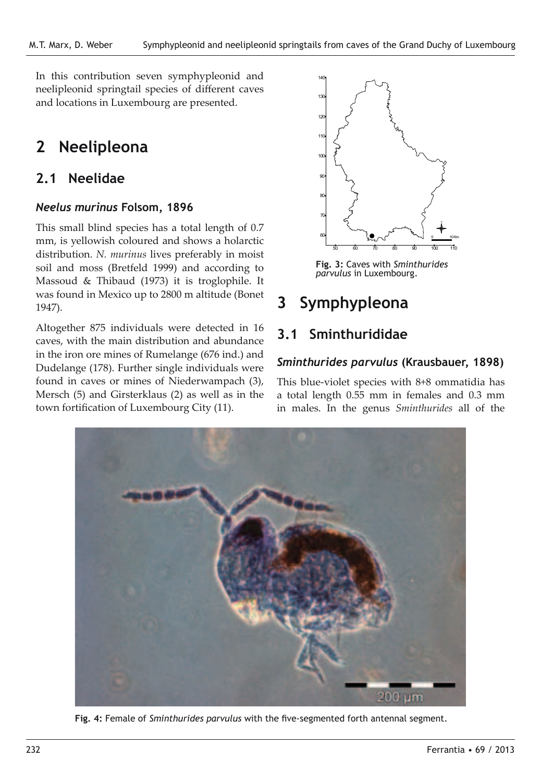In this contribution seven symphypleonid and neelipleonid springtail species of different caves and locations in Luxembourg are presented.

## **2 Neelipleona**

## **2.1 Neelidae**

#### *Neelus murinus* **Folsom, 1896**

This small blind species has a total length of 0.7 mm, is yellowish coloured and shows a holarctic distribution. *N. murinus* lives preferably in moist soil and moss (Bretfeld 1999) and according to Massoud & Thibaud (1973) it is troglophile. It was found in Mexico up to 2800 m altitude (Bonet 1947).

Altogether 875 individuals were detected in 16 caves, with the main distribution and abundance in the iron ore mines of Rumelange (676 ind.) and Dudelange (178). Further single individuals were found in caves or mines of Niederwampach (3), Mersch (5) and Girsterklaus (2) as well as in the town fortification of Luxembourg City (11).



*Sminthurides parvulus*

**Fig. 3:** Caves with *Sminthurides parvulus* in Luxembourg.

## **3 Symphypleona**

## **3.1 Sminthurididae**

#### *Sminthurides parvulus* **(Krausbauer, 1898)**

This blue-violet species with 8+8 ommatidia has a total length 0.55 mm in females and 0.3 mm in males. In the genus *Sminthurides* all of the



**Fig. 4:** Female of *Sminthurides parvulus* with the five-segmented forth antennal segment.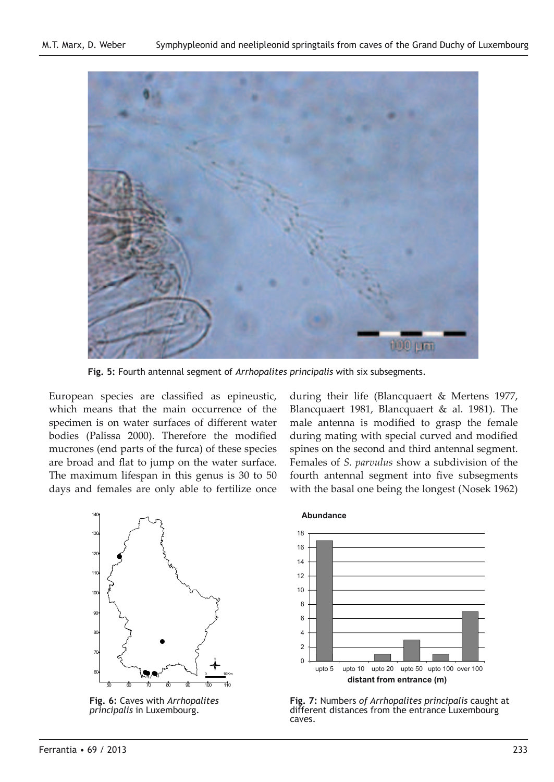

**Fig. 5:** Fourth antennal segment of *Arrhopalites principalis* with six subsegments.

European species are classified as epineustic, which means that the main occurrence of the specimen is on water surfaces of different water bodies (Palissa 2000). Therefore the modified mucrones (end parts of the furca) of these species are broad and flat to jump on the water surface. The maximum lifespan in this genus is 30 to 50 days and females are only able to fertilize once during their life (Blancquaert & Mertens 1977, Blancquaert 1981, Blancquaert & al. 1981). The male antenna is modified to grasp the female during mating with special curved and modified spines on the second and third antennal segment. Females of *S. parvulus* show a subdivision of the fourth antennal segment into five subsegments with the basal one being the longest (Nosek 1962)



**Fig. 6:** Caves with *Arrhopalites principalis* in Luxembourg.



**Fig. 7:** Numbers *of Arrhopalites principalis* caught at different distances from the entrance Luxembourg caves.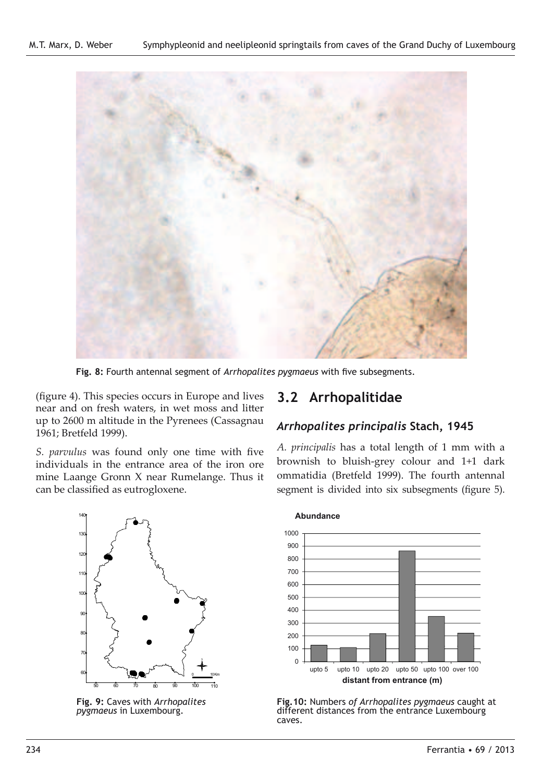

**Fig. 8:** Fourth antennal segment of *Arrhopalites pygmaeus* with five subsegments.

(figure 4). This species occurs in Europe and lives near and on fresh waters, in wet moss and litter up to 2600 m altitude in the Pyrenees (Cassagnau 1961; Bretfeld 1999).

*S. parvulus* was found only one time with five individuals in the entrance area of the iron ore mine Laange Gronn X near Rumelange. Thus it can be classified as eutrogloxene. *Arrhopalites pygmaeus*

# # # # # # # # # # # 60 70 80 90 100 110 120 130 140 50 60 70 80 90 100 110  $\bullet$ 98 4 ### . . ## # # #  $\bullet$   $\rightsquigarrow$  $\ddot{\bullet}$ # 0 10Km

**Fig. 9:** Caves with *Arrhopalites pygmaeus* in Luxembourg.

## **3.2 Arrhopalitidae**

### *Arrhopalites principalis* **Stach, 1945**

*A. principalis* has a total length of 1 mm with a brownish to bluish-grey colour and 1+1 dark ommatidia (Bretfeld 1999). The fourth antennal segment is divided into six subsegments (figure 5).



**Fig.10:** Numbers *of Arrhopalites pygmaeus* caught at different distances from the entrance Luxembourg caves.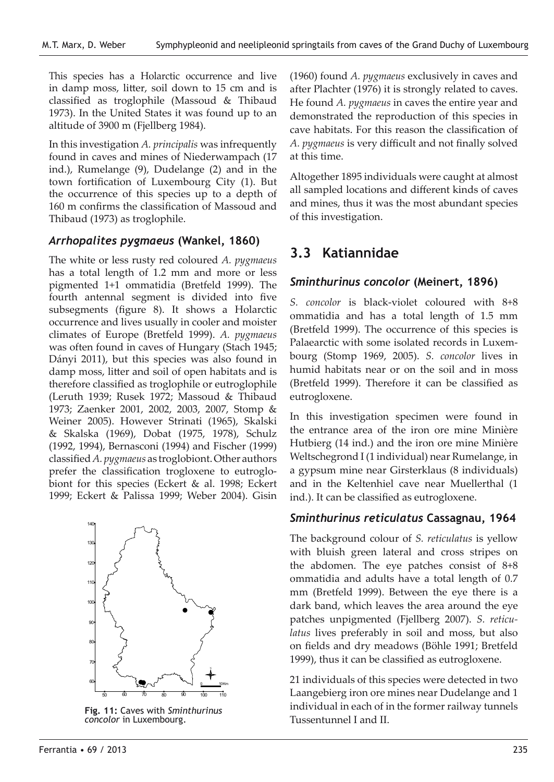This species has a Holarctic occurrence and live in damp moss, litter, soil down to 15 cm and is classified as troglophile (Massoud & Thibaud 1973). In the United States it was found up to an altitude of 3900 m (Fjellberg 1984).

In this investigation *A. principalis* was infrequently found in caves and mines of Niederwampach (17 ind.), Rumelange (9), Dudelange (2) and in the town fortification of Luxembourg City (1). But the occurrence of this species up to a depth of 160 m confirms the classification of Massoud and Thibaud (1973) as troglophile.

#### *Arrhopalites pygmaeus* **(Wankel, 1860)**

The white or less rusty red coloured *A. pygmaeus* has a total length of 1.2 mm and more or less pigmented 1+1 ommatidia (Bretfeld 1999). The fourth antennal segment is divided into five subsegments (figure 8). It shows a Holarctic occurrence and lives usually in cooler and moister climates of Europe (Bretfeld 1999). *A. pygmaeus* was often found in caves of Hungary (Stach 1945; Dányi 2011), but this species was also found in damp moss, litter and soil of open habitats and is therefore classified as troglophile or eutroglophile (Leruth 1939; Rusek 1972; Massoud & Thibaud 1973; Zaenker 2001, 2002, 2003, 2007, Stomp & Weiner 2005). However Strinati (1965), Skalski & Skalska (1969), Dobat (1975, 1978), Schulz (1992, 1994), Bernasconi (1994) and Fischer (1999) classified *A. pygmaeus* as troglobiont. Other authors prefer the classification trogloxene to eutroglobiont for this species (Eckert & al. 1998; Eckert 1999; Eckert & Palissa 1999; Weber 2004). Gisin *Sminthurinus concolor*



Tussentunnel I and II. **Fig. 11:** Caves with *Sminthurinus concolor* in Luxembourg.

(1960) found *A. pygmaeus* exclusively in caves and after Plachter (1976) it is strongly related to caves. He found *A. pygmaeus* in caves the entire year and demonstrated the reproduction of this species in cave habitats. For this reason the classification of *A. pygmaeus* is very difficult and not finally solved at this time.

Altogether 1895 individuals were caught at almost all sampled locations and different kinds of caves and mines, thus it was the most abundant species of this investigation.

## **3.3 Katiannidae**

#### *Sminthurinus concolor* **(Meinert, 1896)**

*S. concolor* is black-violet coloured with 8+8 ommatidia and has a total length of 1.5 mm (Bretfeld 1999). The occurrence of this species is Palaearctic with some isolated records in Luxembourg (Stomp 1969, 2005). *S. concolor* lives in humid habitats near or on the soil and in moss (Bretfeld 1999). Therefore it can be classified as eutrogloxene.

In this investigation specimen were found in the entrance area of the iron ore mine Minière Hutbierg (14 ind.) and the iron ore mine Minière Weltschegrond I (1 individual) near Rumelange, in a gypsum mine near Girsterklaus (8 individuals) and in the Keltenhiel cave near Muellerthal (1 ind.). It can be classified as eutrogloxene.

#### *Sminthurinus reticulatus* **Cassagnau, 1964**

The background colour of *S. reticulatus* is yellow with bluish green lateral and cross stripes on the abdomen. The eye patches consist of 8+8 ommatidia and adults have a total length of 0.7 mm (Bretfeld 1999). Between the eye there is a dark band, which leaves the area around the eye patches unpigmented (Fjellberg 2007). *S. reticulatus* lives preferably in soil and moss, but also on fields and dry meadows (Böhle 1991; Bretfeld 1999), thus it can be classified as eutrogloxene.

21 individuals of this species were detected in two Laangebierg iron ore mines near Dudelange and 1 individual in each of in the former railway tunnels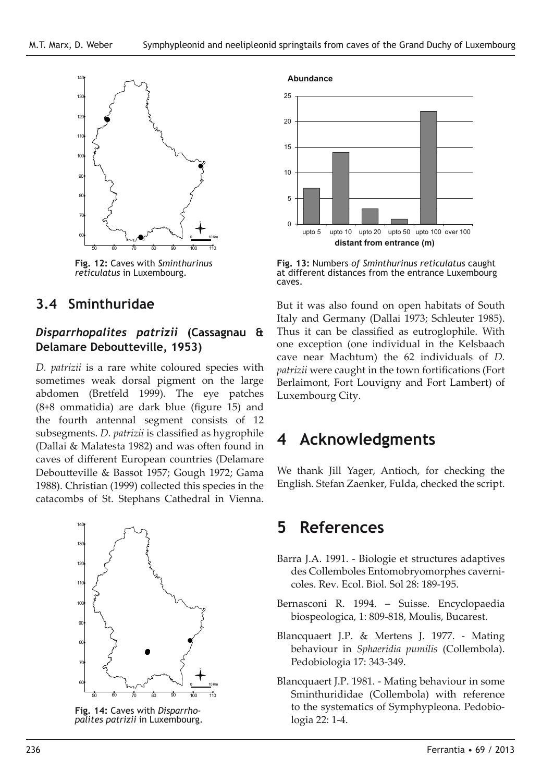

*Sminthurinus reticulatus*

**Fig. 12:** Caves with *Sminthurinus reticulatus* in Luxembourg.

### **3.4 Sminthuridae**

#### *Disparrhopalites patrizii* **(Cassagnau & Delamare Deboutteville, 1953)**

*D. patrizii* is a rare white coloured species with sometimes weak dorsal pigment on the large abdomen (Bretfeld 1999). The eye patches (8+8 ommatidia) are dark blue (figure 15) and the fourth antennal segment consists of 12 subsegments. *D. patrizii* is classified as hygrophile (Dallai & Malatesta 1982) and was often found in caves of different European countries (Delamare Deboutteville & Bassot 1957; Gough 1972; Gama 1988). Christian (1999) collected this species in the catacombs of St. Stephans Cathedral in Vienna.



**Fig. 14:** Caves with *Disparrhopalites patrizii* in Luxembourg.



**Fig. 13:** Numbers *of Sminthurinus reticulatus* caught at different distances from the entrance Luxembourg caves.

But it was also found on open habitats of South Italy and Germany (Dallai 1973; Schleuter 1985). Thus it can be classified as eutroglophile. With one exception (one individual in the Kelsbaach cave near Machtum) the 62 individuals of *D. patrizii* were caught in the town fortifications (Fort Berlaimont, Fort Louvigny and Fort Lambert) of Luxembourg City.

## **4 Acknowledgments**

We thank Jill Yager, Antioch, for checking the English. Stefan Zaenker, Fulda, checked the script.

## **5 References**

- Barra J.A. 1991. Biologie et structures adaptives des Collemboles Entomobryomorphes cavernicoles. Rev. Ecol. Biol. Sol 28: 189-195.
- Bernasconi R. 1994. Suisse. Encyclopaedia biospeologica, 1: 809-818, Moulis, Bucarest.
- Blancquaert J.P. & Mertens J. 1977. Mating behaviour in *Sphaeridia pumilis* (Collembola). Pedobiologia 17: 343-349.
- Blancquaert J.P. 1981. Mating behaviour in some Sminthurididae (Collembola) with reference to the systematics of Symphypleona. Pedobiologia 22: 1-4.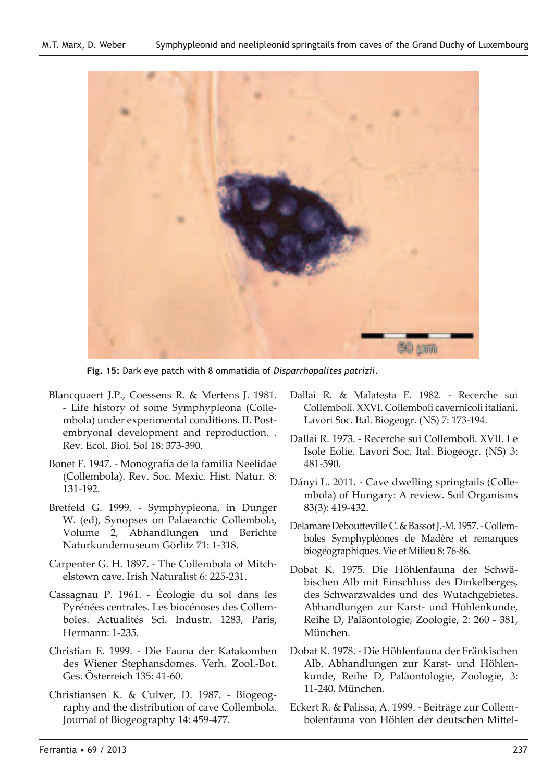

**Fig. 15:** Dark eye patch with 8 ommatidia of *Disparrhopalites patrizii*.

- Blancquaert J.P., Coessens R. & Mertens J. 1981. - Life history of some Symphypleona (Collembola) under experimental conditions. II. Postembryonal development and reproduction. . Rev. Ecol. Biol. Sol 18: 373-390.
- Bonet F. 1947. Monografía de la familia Neelidae (Collembola). Rev. Soc. Mexic. Hist. Natur. 8: 131-192.
- Bretfeld G. 1999. Symphypleona, in Dunger W. (ed), Synopses on Palaearctic Collembola, Volume 2, Abhandlungen und Berichte Naturkundemuseum Görlitz 71: 1-318.
- Carpenter G. H. 1897. The Collembola of Mitchelstown cave. Irish Naturalist 6: 225-231.
- Cassagnau P. 1961. Écologie du sol dans les Pyrénées centrales. Les biocénoses des Collemboles. Actualités Sci. Industr. 1283, Paris, Hermann: 1-235.
- Christian E. 1999. Die Fauna der Katakomben des Wiener Stephansdomes. Verh. Zool.-Bot. Ges. Österreich 135: 41-60.
- Christiansen K. & Culver, D. 1987. Biogeography and the distribution of cave Collembola. Journal of Biogeography 14: 459-477.
- Dallai R. & Malatesta E. 1982. Recerche sui Collemboli. XXVI. Collemboli cavernicoli italiani. Lavori Soc. Ital. Biogeogr. (NS) 7: 173-194.
- Dallai R. 1973. Recerche sui Collemboli. XVII. Le Isole Eolie. Lavori Soc. Ital. Biogeogr. (NS) 3: 481-590.
- Dányi L. 2011. Cave dwelling springtails (Collembola) of Hungary: A review. Soil Organisms 83(3): 419-432.
- Delamare Deboutteville C. & Bassot J.-M. 1957. Collemboles Symphypléones de Madère et remarques biogéographiques. Vie et Milieu 8: 76-86.
- Dobat K. 1975. Die Höhlenfauna der Schwäbischen Alb mit Einschluss des Dinkelberges, des Schwarzwaldes und des Wutachgebietes. Abhandlungen zur Karst- und Höhlenkunde, Reihe D, Paläontologie, Zoologie, 2: 260 - 381, München.
- Dobat K. 1978. Die Höhlenfauna der Fränkischen Alb. Abhandlungen zur Karst- und Höhlenkunde, Reihe D, Paläontologie, Zoologie, 3: 11-240, München.
- Eckert R. & Palissa, A. 1999. Beiträge zur Collembolenfauna von Höhlen der deutschen Mittel-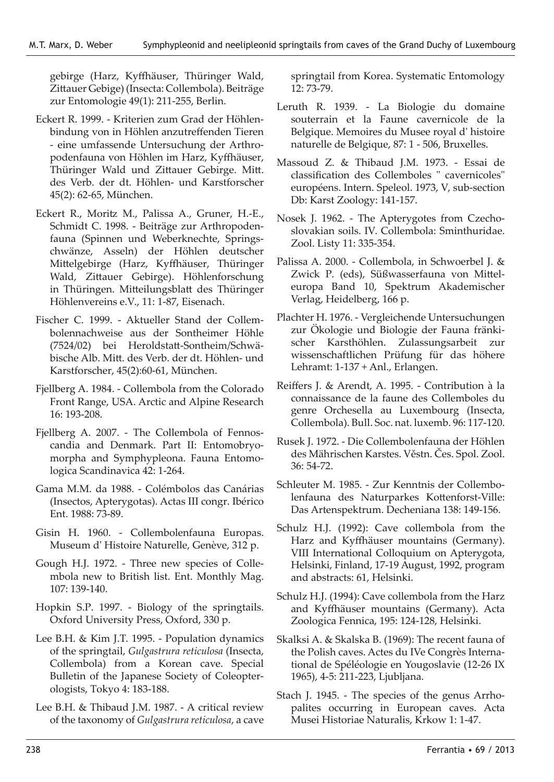gebirge (Harz, Kyffhäuser, Thüringer Wald, Zittauer Gebige) (Insecta: Collembola). Beiträge zur Entomologie 49(1): 211-255, Berlin.

- Eckert R. 1999. Kriterien zum Grad der Höhlenbindung von in Höhlen anzutreffenden Tieren - eine umfassende Untersuchung der Arthropodenfauna von Höhlen im Harz, Kyffhäuser, Thüringer Wald und Zittauer Gebirge. Mitt. des Verb. der dt. Höhlen- und Karstforscher 45(2): 62-65, München.
- Eckert R., Moritz M., Palissa A., Gruner, H.-E., Schmidt C. 1998. - Beiträge zur Arthropodenfauna (Spinnen und Weberknechte, Springschwänze, Asseln) der Höhlen deutscher Mittelgebirge (Harz, Kyffhäuser, Thüringer Wald, Zittauer Gebirge). Höhlenforschung in Thüringen. Mitteilungsblatt des Thüringer Höhlenvereins e.V., 11: 1-87, Eisenach.
- Fischer C. 1999. Aktueller Stand der Collembolennachweise aus der Sontheimer Höhle (7524/02) bei Heroldstatt-Sontheim/Schwäbische Alb. Mitt. des Verb. der dt. Höhlen- und Karstforscher, 45(2):60-61, München.
- Fjellberg A. 1984. Collembola from the Colorado Front Range, USA. Arctic and Alpine Research 16: 193-208.
- Fjellberg A. 2007. The Collembola of Fennoscandia and Denmark. Part II: Entomobryomorpha and Symphypleona. Fauna Entomologica Scandinavica 42: 1-264.
- Gama M.M. da 1988. Colémbolos das Canárias (Insectos, Apterygotas). Actas III congr. Ibérico Ent. 1988: 73-89.
- Gisin H. 1960. Collembolenfauna Europas. Museum d' Histoire Naturelle, Genève, 312 p.
- Gough H.J. 1972. Three new species of Collembola new to British list. Ent. Monthly Mag. 107: 139-140.
- Hopkin S.P. 1997. Biology of the springtails. Oxford University Press, Oxford, 330 p.
- Lee B.H. & Kim J.T. 1995. Population dynamics of the springtail, *Gulgastrura reticulosa* (Insecta, Collembola) from a Korean cave. Special Bulletin of the Japanese Society of Coleopterologists, Tokyo 4: 183-188.
- Lee B.H. & Thibaud J.M. 1987. A critical review of the taxonomy of *Gulgastrura reticulosa*, a cave

springtail from Korea. Systematic Entomology 12: 73-79.

- Leruth R. 1939. La Biologie du domaine souterrain et la Faune cavernicole de la Belgique. Memoires du Musee royal d' histoire naturelle de Belgique, 87: 1 - 506, Bruxelles.
- Massoud Z. & Thibaud J.M. 1973. Essai de classification des Collemboles " cavernicoles" européens. Intern. Speleol. 1973, V, sub-section Db: Karst Zoology: 141-157.
- Nosek J. 1962. The Apterygotes from Czechoslovakian soils. IV. Collembola: Sminthuridae. Zool. Listy 11: 335-354.
- Palissa A. 2000. Collembola, in Schwoerbel J. & Zwick P. (eds), Süßwasserfauna von Mitteleuropa Band 10, Spektrum Akademischer Verlag, Heidelberg, 166 p.
- Plachter H. 1976. Vergleichende Untersuchungen zur Ökologie und Biologie der Fauna fränkischer Karsthöhlen. Zulassungsarbeit zur wissenschaftlichen Prüfung für das höhere Lehramt: 1-137 + Anl., Erlangen.
- Reiffers J. & Arendt, A. 1995. Contribution à la connaissance de la faune des Collemboles du genre Orchesella au Luxembourg (Insecta, Collembola). Bull. Soc. nat. luxemb. 96: 117-120.
- Rusek J. 1972. Die Collembolenfauna der Höhlen des Mährischen Karstes. Věstn. Čes. Spol. Zool. 36: 54-72.
- Schleuter M. 1985. Zur Kenntnis der Collembolenfauna des Naturparkes Kottenforst-Ville: Das Artenspektrum. Decheniana 138: 149-156.
- Schulz H.J. (1992): Cave collembola from the Harz and Kyffhäuser mountains (Germany). VIII International Colloquium on Apterygota, Helsinki, Finland, 17-19 August, 1992, program and abstracts: 61, Helsinki.
- Schulz H.J. (1994): Cave collembola from the Harz and Kyffhäuser mountains (Germany). Acta Zoologica Fennica, 195: 124-128, Helsinki.
- Skalksi A. & Skalska B. (1969): The recent fauna of the Polish caves. Actes du IVe Congrès International de Spéléologie en Yougoslavie (12-26 IX 1965), 4-5: 211-223, Ljubljana.
- Stach J. 1945. The species of the genus Arrhopalites occurring in European caves. Acta Musei Historiae Naturalis, Krkow 1: 1-47.